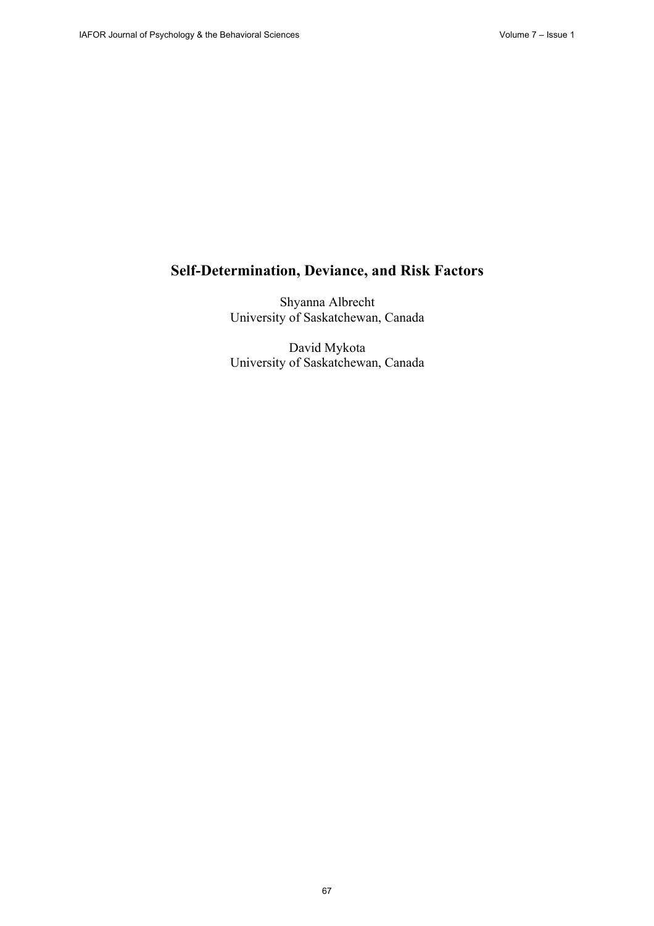# **Self-Determination, Deviance, and Risk Factors**

Shyanna Albrecht University of Saskatchewan, Canada

David Mykota University of Saskatchewan, Canada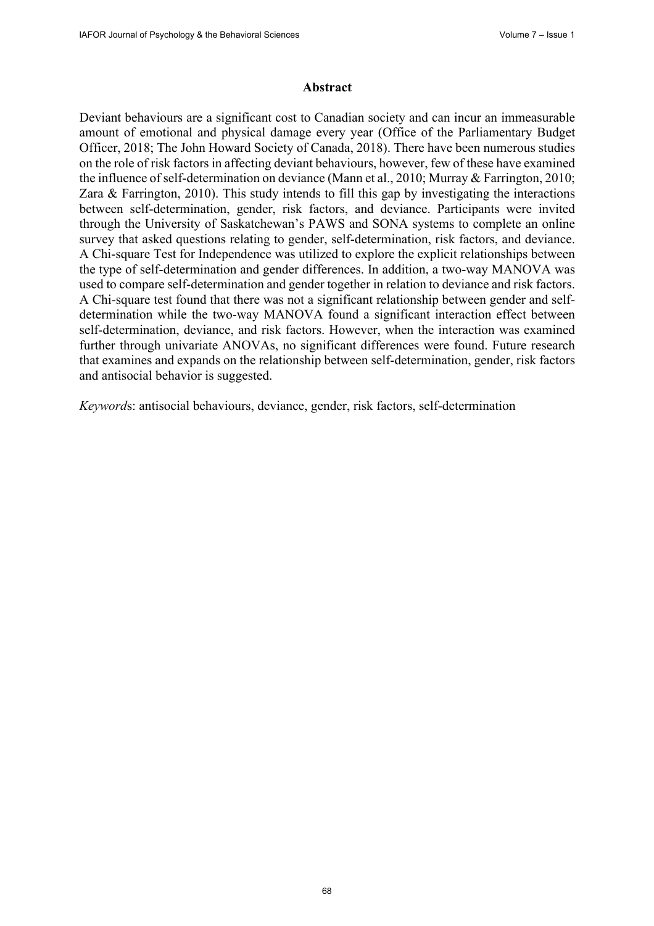### **Abstract**

Deviant behaviours are a significant cost to Canadian society and can incur an immeasurable amount of emotional and physical damage every year (Office of the Parliamentary Budget Officer, 2018; The John Howard Society of Canada, 2018). There have been numerous studies on the role of risk factors in affecting deviant behaviours, however, few of these have examined the influence of self-determination on deviance (Mann et al., 2010; Murray & Farrington, 2010; Zara & Farrington, 2010). This study intends to fill this gap by investigating the interactions between self-determination, gender, risk factors, and deviance. Participants were invited through the University of Saskatchewan's PAWS and SONA systems to complete an online survey that asked questions relating to gender, self-determination, risk factors, and deviance. A Chi-square Test for Independence was utilized to explore the explicit relationships between the type of self-determination and gender differences. In addition, a two-way MANOVA was used to compare self-determination and gender together in relation to deviance and risk factors. A Chi-square test found that there was not a significant relationship between gender and selfdetermination while the two-way MANOVA found a significant interaction effect between self-determination, deviance, and risk factors. However, when the interaction was examined further through univariate ANOVAs, no significant differences were found. Future research that examines and expands on the relationship between self-determination, gender, risk factors and antisocial behavior is suggested.

*Keyword*s: antisocial behaviours, deviance, gender, risk factors, self-determination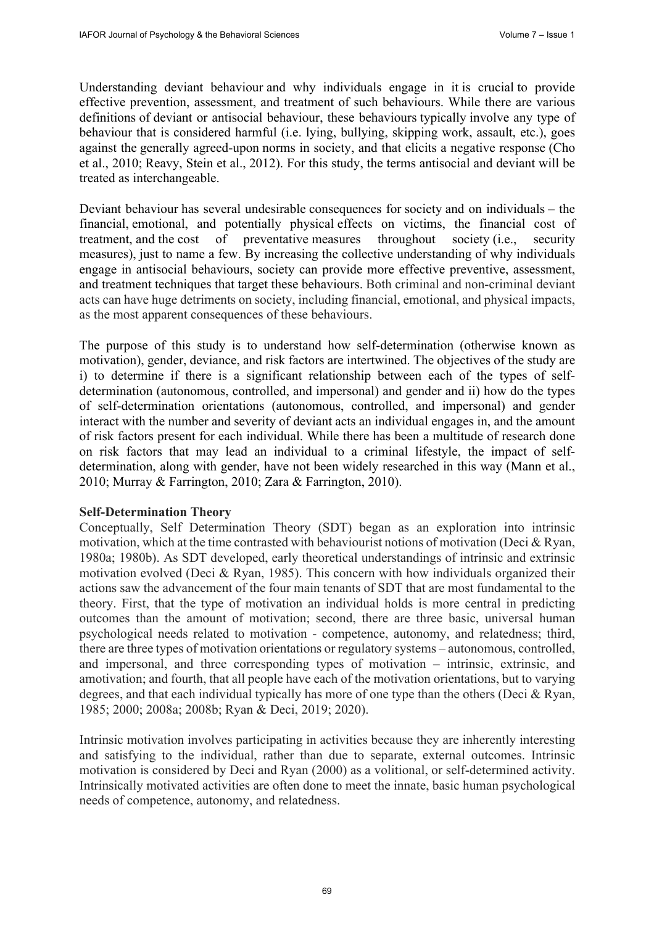Understanding deviant behaviour and why individuals engage in it is crucial to provide effective prevention, assessment, and treatment of such behaviours. While there are various definitions of deviant or antisocial behaviour, these behaviours typically involve any type of behaviour that is considered harmful (i.e. lying, bullying, skipping work, assault, etc.), goes against the generally agreed-upon norms in society, and that elicits a negative response (Cho et al., 2010; Reavy, Stein et al., 2012). For this study, the terms antisocial and deviant will be treated as interchangeable.

Deviant behaviour has several undesirable consequences for society and on individuals – the financial, emotional, and potentially physical effects on victims, the financial cost of treatment, and the cost of preventative measures throughout society (i.e., security measures), just to name a few. By increasing the collective understanding of why individuals engage in antisocial behaviours, society can provide more effective preventive, assessment, and treatment techniques that target these behaviours. Both criminal and non-criminal deviant acts can have huge detriments on society, including financial, emotional, and physical impacts, as the most apparent consequences of these behaviours.

The purpose of this study is to understand how self-determination (otherwise known as motivation), gender, deviance, and risk factors are intertwined. The objectives of the study are i) to determine if there is a significant relationship between each of the types of selfdetermination (autonomous, controlled, and impersonal) and gender and ii) how do the types of self-determination orientations (autonomous, controlled, and impersonal) and gender interact with the number and severity of deviant acts an individual engages in, and the amount of risk factors present for each individual. While there has been a multitude of research done on risk factors that may lead an individual to a criminal lifestyle, the impact of selfdetermination, along with gender, have not been widely researched in this way (Mann et al., 2010; Murray & Farrington, 2010; Zara & Farrington, 2010).

# **Self-Determination Theory**

Conceptually, Self Determination Theory (SDT) began as an exploration into intrinsic motivation, which at the time contrasted with behaviourist notions of motivation (Deci & Ryan, 1980a; 1980b). As SDT developed, early theoretical understandings of intrinsic and extrinsic motivation evolved (Deci & Ryan, 1985). This concern with how individuals organized their actions saw the advancement of the four main tenants of SDT that are most fundamental to the theory. First, that the type of motivation an individual holds is more central in predicting outcomes than the amount of motivation; second, there are three basic, universal human psychological needs related to motivation - competence, autonomy, and relatedness; third, there are three types of motivation orientations or regulatory systems – autonomous, controlled, and impersonal, and three corresponding types of motivation – intrinsic, extrinsic, and amotivation; and fourth, that all people have each of the motivation orientations, but to varying degrees, and that each individual typically has more of one type than the others (Deci & Ryan, 1985; 2000; 2008a; 2008b; Ryan & Deci, 2019; 2020).

Intrinsic motivation involves participating in activities because they are inherently interesting and satisfying to the individual, rather than due to separate, external outcomes. Intrinsic motivation is considered by Deci and Ryan (2000) as a volitional, or self-determined activity. Intrinsically motivated activities are often done to meet the innate, basic human psychological needs of competence, autonomy, and relatedness.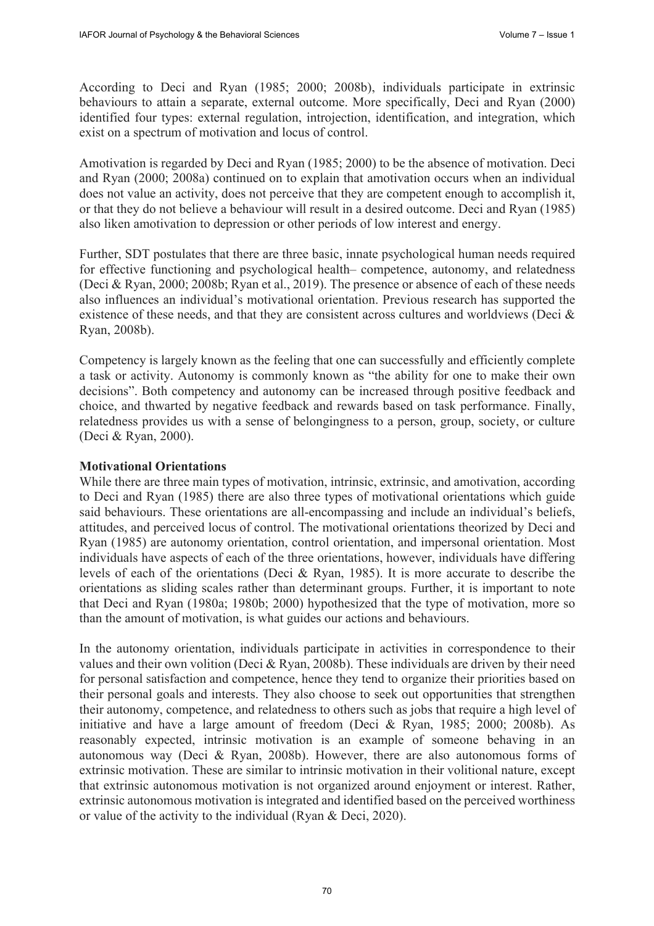According to Deci and Ryan (1985; 2000; 2008b), individuals participate in extrinsic behaviours to attain a separate, external outcome. More specifically, Deci and Ryan (2000) identified four types: external regulation, introjection, identification, and integration, which exist on a spectrum of motivation and locus of control.

Amotivation is regarded by Deci and Ryan (1985; 2000) to be the absence of motivation. Deci and Ryan (2000; 2008a) continued on to explain that amotivation occurs when an individual does not value an activity, does not perceive that they are competent enough to accomplish it, or that they do not believe a behaviour will result in a desired outcome. Deci and Ryan (1985) also liken amotivation to depression or other periods of low interest and energy.

Further, SDT postulates that there are three basic, innate psychological human needs required for effective functioning and psychological health– competence, autonomy, and relatedness (Deci & Ryan, 2000; 2008b; Ryan et al., 2019). The presence or absence of each of these needs also influences an individual's motivational orientation. Previous research has supported the existence of these needs, and that they are consistent across cultures and worldviews (Deci  $\&$ Ryan, 2008b).

Competency is largely known as the feeling that one can successfully and efficiently complete a task or activity. Autonomy is commonly known as "the ability for one to make their own decisions". Both competency and autonomy can be increased through positive feedback and choice, and thwarted by negative feedback and rewards based on task performance. Finally, relatedness provides us with a sense of belongingness to a person, group, society, or culture (Deci & Ryan, 2000).

# **Motivational Orientations**

While there are three main types of motivation, intrinsic, extrinsic, and amotivation, according to Deci and Ryan (1985) there are also three types of motivational orientations which guide said behaviours. These orientations are all-encompassing and include an individual's beliefs, attitudes, and perceived locus of control. The motivational orientations theorized by Deci and Ryan (1985) are autonomy orientation, control orientation, and impersonal orientation. Most individuals have aspects of each of the three orientations, however, individuals have differing levels of each of the orientations (Deci & Ryan, 1985). It is more accurate to describe the orientations as sliding scales rather than determinant groups. Further, it is important to note that Deci and Ryan (1980a; 1980b; 2000) hypothesized that the type of motivation, more so than the amount of motivation, is what guides our actions and behaviours.

In the autonomy orientation, individuals participate in activities in correspondence to their values and their own volition (Deci & Ryan, 2008b). These individuals are driven by their need for personal satisfaction and competence, hence they tend to organize their priorities based on their personal goals and interests. They also choose to seek out opportunities that strengthen their autonomy, competence, and relatedness to others such as jobs that require a high level of initiative and have a large amount of freedom (Deci & Ryan, 1985; 2000; 2008b). As reasonably expected, intrinsic motivation is an example of someone behaving in an autonomous way (Deci & Ryan, 2008b). However, there are also autonomous forms of extrinsic motivation. These are similar to intrinsic motivation in their volitional nature, except that extrinsic autonomous motivation is not organized around enjoyment or interest. Rather, extrinsic autonomous motivation is integrated and identified based on the perceived worthiness or value of the activity to the individual (Ryan & Deci, 2020).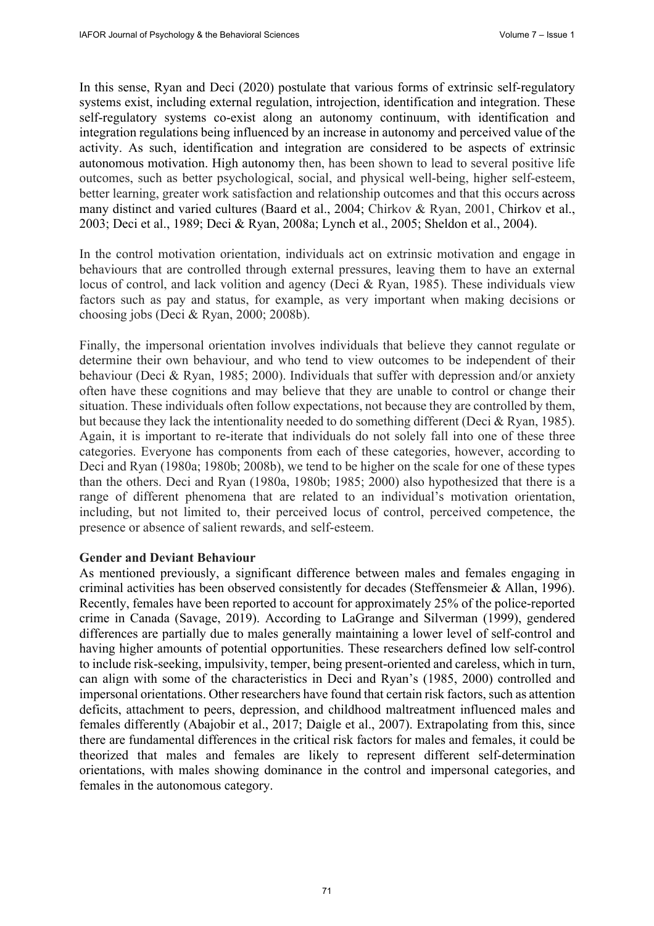In this sense, Ryan and Deci (2020) postulate that various forms of extrinsic self-regulatory systems exist, including external regulation, introjection, identification and integration. These self-regulatory systems co-exist along an autonomy continuum, with identification and integration regulations being influenced by an increase in autonomy and perceived value of the activity. As such, identification and integration are considered to be aspects of extrinsic autonomous motivation. High autonomy then, has been shown to lead to several positive life outcomes, such as better psychological, social, and physical well-being, higher self-esteem, better learning, greater work satisfaction and relationship outcomes and that this occurs across many distinct and varied cultures (Baard et al., 2004; Chirkov & Ryan, 2001, Chirkov et al., 2003; Deci et al., 1989; Deci & Ryan, 2008a; Lynch et al., 2005; Sheldon et al., 2004).

In the control motivation orientation, individuals act on extrinsic motivation and engage in behaviours that are controlled through external pressures, leaving them to have an external locus of control, and lack volition and agency (Deci & Ryan, 1985). These individuals view factors such as pay and status, for example, as very important when making decisions or choosing jobs (Deci & Ryan, 2000; 2008b).

Finally, the impersonal orientation involves individuals that believe they cannot regulate or determine their own behaviour, and who tend to view outcomes to be independent of their behaviour (Deci & Ryan, 1985; 2000). Individuals that suffer with depression and/or anxiety often have these cognitions and may believe that they are unable to control or change their situation. These individuals often follow expectations, not because they are controlled by them, but because they lack the intentionality needed to do something different (Deci & Ryan, 1985). Again, it is important to re-iterate that individuals do not solely fall into one of these three categories. Everyone has components from each of these categories, however, according to Deci and Ryan (1980a; 1980b; 2008b), we tend to be higher on the scale for one of these types than the others. Deci and Ryan (1980a, 1980b; 1985; 2000) also hypothesized that there is a range of different phenomena that are related to an individual's motivation orientation, including, but not limited to, their perceived locus of control, perceived competence, the presence or absence of salient rewards, and self-esteem.

### **Gender and Deviant Behaviour**

As mentioned previously, a significant difference between males and females engaging in criminal activities has been observed consistently for decades (Steffensmeier & Allan, 1996). Recently, females have been reported to account for approximately 25% of the police-reported crime in Canada (Savage, 2019). According to LaGrange and Silverman (1999), gendered differences are partially due to males generally maintaining a lower level of self-control and having higher amounts of potential opportunities. These researchers defined low self-control to include risk-seeking, impulsivity, temper, being present-oriented and careless, which in turn, can align with some of the characteristics in Deci and Ryan's (1985, 2000) controlled and impersonal orientations. Other researchers have found that certain risk factors, such as attention deficits, attachment to peers, depression, and childhood maltreatment influenced males and females differently (Abajobir et al., 2017; Daigle et al., 2007). Extrapolating from this, since there are fundamental differences in the critical risk factors for males and females, it could be theorized that males and females are likely to represent different self-determination orientations, with males showing dominance in the control and impersonal categories, and females in the autonomous category.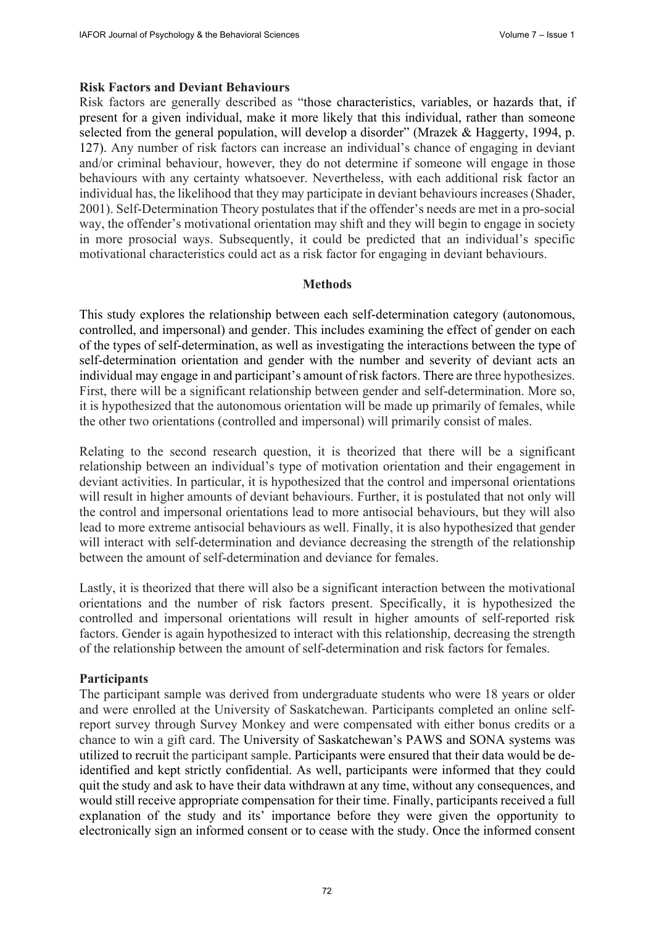### **Risk Factors and Deviant Behaviours**

Risk factors are generally described as "those characteristics, variables, or hazards that, if present for a given individual, make it more likely that this individual, rather than someone selected from the general population, will develop a disorder" (Mrazek & Haggerty, 1994, p. 127). Any number of risk factors can increase an individual's chance of engaging in deviant and/or criminal behaviour, however, they do not determine if someone will engage in those behaviours with any certainty whatsoever. Nevertheless, with each additional risk factor an individual has, the likelihood that they may participate in deviant behaviours increases (Shader, 2001). Self-Determination Theory postulates that if the offender's needs are met in a pro-social way, the offender's motivational orientation may shift and they will begin to engage in society in more prosocial ways. Subsequently, it could be predicted that an individual's specific motivational characteristics could act as a risk factor for engaging in deviant behaviours.

### **Methods**

This study explores the relationship between each self-determination category (autonomous, controlled, and impersonal) and gender. This includes examining the effect of gender on each of the types of self-determination, as well as investigating the interactions between the type of self-determination orientation and gender with the number and severity of deviant acts an individual may engage in and participant's amount of risk factors. There are three hypothesizes. First, there will be a significant relationship between gender and self-determination. More so, it is hypothesized that the autonomous orientation will be made up primarily of females, while the other two orientations (controlled and impersonal) will primarily consist of males.

Relating to the second research question, it is theorized that there will be a significant relationship between an individual's type of motivation orientation and their engagement in deviant activities. In particular, it is hypothesized that the control and impersonal orientations will result in higher amounts of deviant behaviours. Further, it is postulated that not only will the control and impersonal orientations lead to more antisocial behaviours, but they will also lead to more extreme antisocial behaviours as well. Finally, it is also hypothesized that gender will interact with self-determination and deviance decreasing the strength of the relationship between the amount of self-determination and deviance for females.

Lastly, it is theorized that there will also be a significant interaction between the motivational orientations and the number of risk factors present. Specifically, it is hypothesized the controlled and impersonal orientations will result in higher amounts of self-reported risk factors. Gender is again hypothesized to interact with this relationship, decreasing the strength of the relationship between the amount of self-determination and risk factors for females.

### **Participants**

The participant sample was derived from undergraduate students who were 18 years or older and were enrolled at the University of Saskatchewan. Participants completed an online selfreport survey through Survey Monkey and were compensated with either bonus credits or a chance to win a gift card. The University of Saskatchewan's PAWS and SONA systems was utilized to recruit the participant sample. Participants were ensured that their data would be deidentified and kept strictly confidential. As well, participants were informed that they could quit the study and ask to have their data withdrawn at any time, without any consequences, and would still receive appropriate compensation for their time. Finally, participants received a full explanation of the study and its' importance before they were given the opportunity to electronically sign an informed consent or to cease with the study. Once the informed consent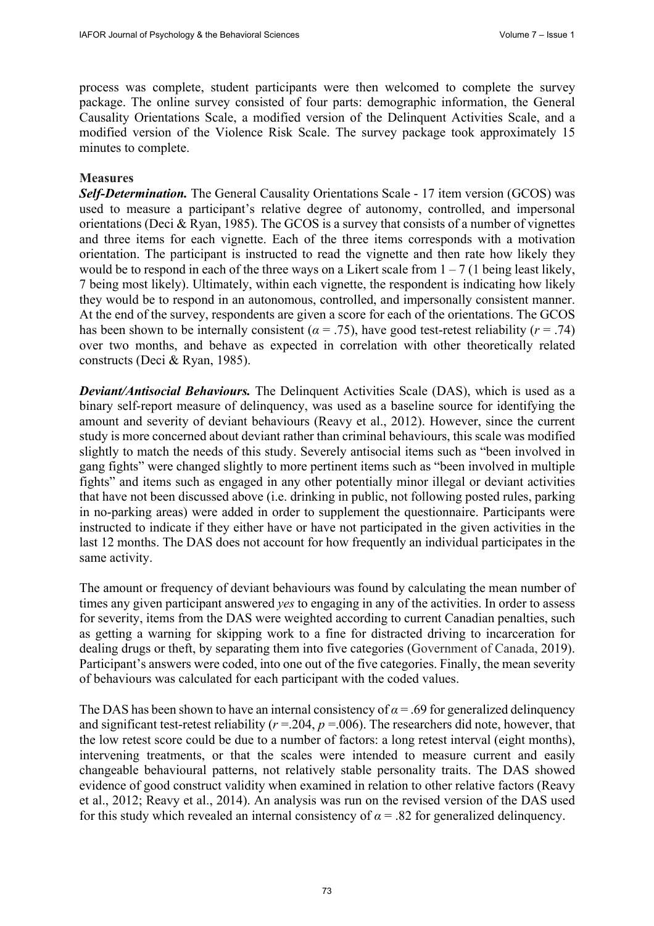process was complete, student participants were then welcomed to complete the survey package. The online survey consisted of four parts: demographic information, the General Causality Orientations Scale, a modified version of the Delinquent Activities Scale, and a modified version of the Violence Risk Scale. The survey package took approximately 15 minutes to complete.

### **Measures**

**Self-Determination.** The General Causality Orientations Scale - 17 item version (GCOS) was used to measure a participant's relative degree of autonomy, controlled, and impersonal orientations (Deci & Ryan, 1985). The GCOS is a survey that consists of a number of vignettes and three items for each vignette. Each of the three items corresponds with a motivation orientation. The participant is instructed to read the vignette and then rate how likely they would be to respond in each of the three ways on a Likert scale from  $1 - 7$  (1 being least likely, 7 being most likely). Ultimately, within each vignette, the respondent is indicating how likely they would be to respond in an autonomous, controlled, and impersonally consistent manner. At the end of the survey, respondents are given a score for each of the orientations. The GCOS has been shown to be internally consistent ( $\alpha = .75$ ), have good test-retest reliability ( $r = .74$ ) over two months, and behave as expected in correlation with other theoretically related constructs (Deci & Ryan, 1985).

*Deviant/Antisocial Behaviours.* The Delinquent Activities Scale (DAS), which is used as a binary self-report measure of delinquency, was used as a baseline source for identifying the amount and severity of deviant behaviours (Reavy et al., 2012). However, since the current study is more concerned about deviant rather than criminal behaviours, this scale was modified slightly to match the needs of this study. Severely antisocial items such as "been involved in gang fights" were changed slightly to more pertinent items such as "been involved in multiple fights" and items such as engaged in any other potentially minor illegal or deviant activities that have not been discussed above (i.e. drinking in public, not following posted rules, parking in no-parking areas) were added in order to supplement the questionnaire. Participants were instructed to indicate if they either have or have not participated in the given activities in the last 12 months. The DAS does not account for how frequently an individual participates in the same activity.

The amount or frequency of deviant behaviours was found by calculating the mean number of times any given participant answered *yes* to engaging in any of the activities. In order to assess for severity, items from the DAS were weighted according to current Canadian penalties, such as getting a warning for skipping work to a fine for distracted driving to incarceration for dealing drugs or theft, by separating them into five categories (Government of Canada, 2019). Participant's answers were coded, into one out of the five categories. Finally, the mean severity of behaviours was calculated for each participant with the coded values.

The DAS has been shown to have an internal consistency of  $\alpha$  = .69 for generalized delinquency and significant test-retest reliability ( $r = 204$ ,  $p = 006$ ). The researchers did note, however, that the low retest score could be due to a number of factors: a long retest interval (eight months), intervening treatments, or that the scales were intended to measure current and easily changeable behavioural patterns, not relatively stable personality traits. The DAS showed evidence of good construct validity when examined in relation to other relative factors (Reavy et al., 2012; Reavy et al., 2014). An analysis was run on the revised version of the DAS used for this study which revealed an internal consistency of  $\alpha$  = .82 for generalized delinquency.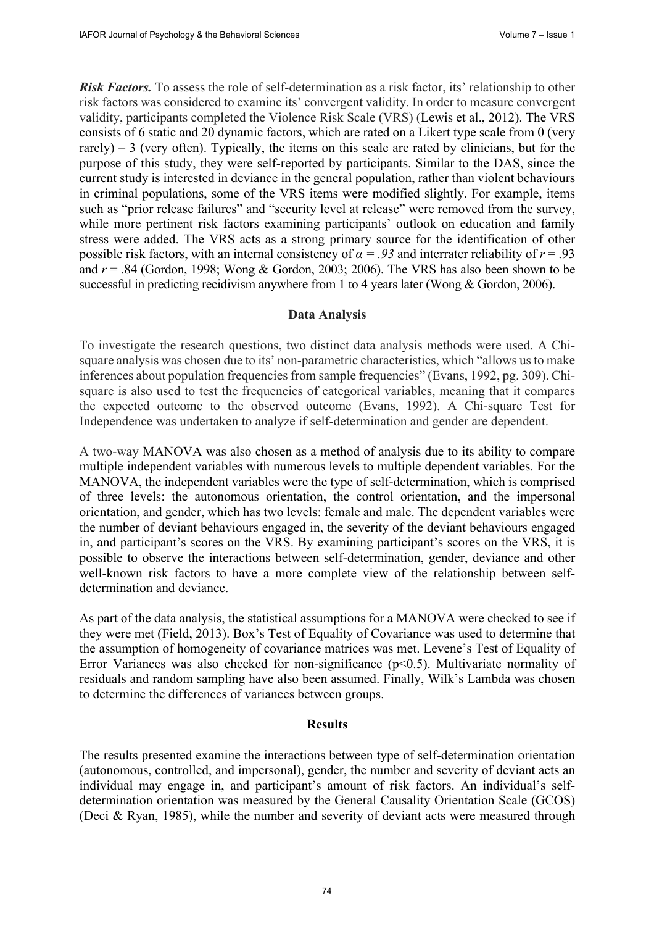*Risk Factors.* To assess the role of self-determination as a risk factor, its' relationship to other risk factors was considered to examine its' convergent validity. In order to measure convergent validity, participants completed the Violence Risk Scale (VRS) (Lewis et al., 2012). The VRS consists of 6 static and 20 dynamic factors, which are rated on a Likert type scale from 0 (very rarely) – 3 (very often). Typically, the items on this scale are rated by clinicians, but for the purpose of this study, they were self-reported by participants. Similar to the DAS, since the current study is interested in deviance in the general population, rather than violent behaviours in criminal populations, some of the VRS items were modified slightly. For example, items such as "prior release failures" and "security level at release" were removed from the survey, while more pertinent risk factors examining participants' outlook on education and family stress were added. The VRS acts as a strong primary source for the identification of other possible risk factors, with an internal consistency of  $\alpha = .93$  and interrater reliability of  $r = .93$ and  $r = .84$  (Gordon, 1998; Wong & Gordon, 2003; 2006). The VRS has also been shown to be successful in predicting recidivism anywhere from 1 to 4 years later (Wong & Gordon, 2006).

# **Data Analysis**

To investigate the research questions, two distinct data analysis methods were used. A Chisquare analysis was chosen due to its' non-parametric characteristics, which "allows us to make inferences about population frequencies from sample frequencies" (Evans, 1992, pg. 309). Chisquare is also used to test the frequencies of categorical variables, meaning that it compares the expected outcome to the observed outcome (Evans, 1992). A Chi-square Test for Independence was undertaken to analyze if self-determination and gender are dependent.

A two-way MANOVA was also chosen as a method of analysis due to its ability to compare multiple independent variables with numerous levels to multiple dependent variables. For the MANOVA, the independent variables were the type of self-determination, which is comprised of three levels: the autonomous orientation, the control orientation, and the impersonal orientation, and gender, which has two levels: female and male. The dependent variables were the number of deviant behaviours engaged in, the severity of the deviant behaviours engaged in, and participant's scores on the VRS. By examining participant's scores on the VRS, it is possible to observe the interactions between self-determination, gender, deviance and other well-known risk factors to have a more complete view of the relationship between selfdetermination and deviance.

As part of the data analysis, the statistical assumptions for a MANOVA were checked to see if they were met (Field, 2013). Box's Test of Equality of Covariance was used to determine that the assumption of homogeneity of covariance matrices was met. Levene's Test of Equality of Error Variances was also checked for non-significance (p<0.5). Multivariate normality of residuals and random sampling have also been assumed. Finally, Wilk's Lambda was chosen to determine the differences of variances between groups.

### **Results**

The results presented examine the interactions between type of self-determination orientation (autonomous, controlled, and impersonal), gender, the number and severity of deviant acts an individual may engage in, and participant's amount of risk factors. An individual's selfdetermination orientation was measured by the General Causality Orientation Scale (GCOS) (Deci & Ryan, 1985), while the number and severity of deviant acts were measured through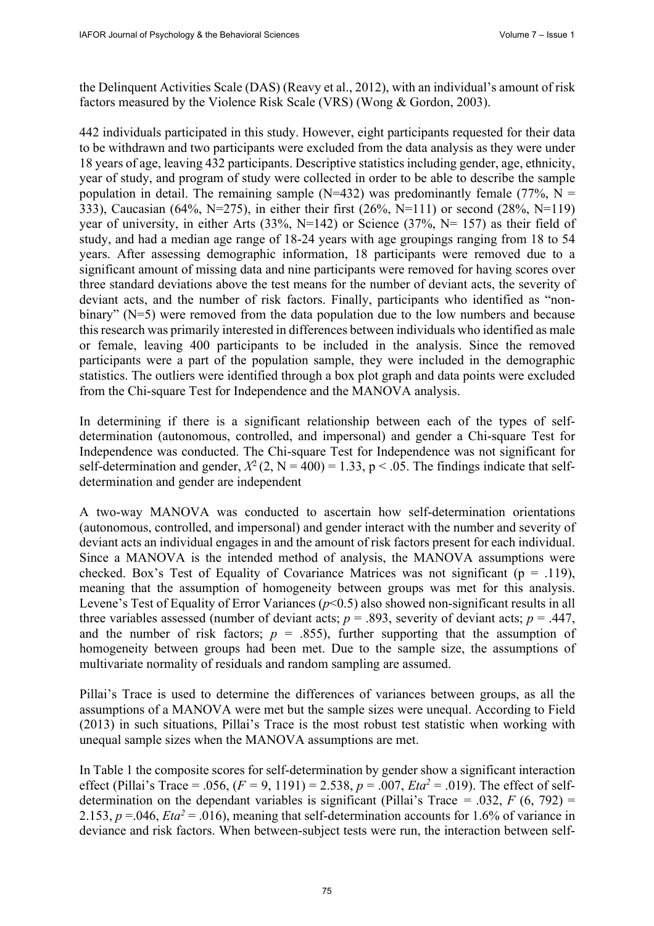the Delinquent Activities Scale (DAS) (Reavy et al., 2012), with an individual's amount of risk factors measured by the Violence Risk Scale (VRS) (Wong & Gordon, 2003).

442 individuals participated in this study. However, eight participants requested for their data to be withdrawn and two participants were excluded from the data analysis as they were under 18 years of age, leaving 432 participants. Descriptive statistics including gender, age, ethnicity, year of study, and program of study were collected in order to be able to describe the sample population in detail. The remaining sample ( $N=432$ ) was predominantly female (77%,  $N =$ 333), Caucasian (64%, N=275), in either their first (26%, N=111) or second (28%, N=119) year of university, in either Arts  $(33\%, N=142)$  or Science  $(37\%, N=157)$  as their field of study, and had a median age range of 18-24 years with age groupings ranging from 18 to 54 years. After assessing demographic information, 18 participants were removed due to a significant amount of missing data and nine participants were removed for having scores over three standard deviations above the test means for the number of deviant acts, the severity of deviant acts, and the number of risk factors. Finally, participants who identified as "nonbinary" (N=5) were removed from the data population due to the low numbers and because this research was primarily interested in differences between individuals who identified as male or female, leaving 400 participants to be included in the analysis. Since the removed participants were a part of the population sample, they were included in the demographic statistics. The outliers were identified through a box plot graph and data points were excluded from the Chi-square Test for Independence and the MANOVA analysis.

In determining if there is a significant relationship between each of the types of selfdetermination (autonomous, controlled, and impersonal) and gender a Chi-square Test for Independence was conducted. The Chi-square Test for Independence was not significant for self-determination and gender,  $X^2$  (2, N = 400) = 1.33, p < .05. The findings indicate that selfdetermination and gender are independent

A two-way MANOVA was conducted to ascertain how self-determination orientations (autonomous, controlled, and impersonal) and gender interact with the number and severity of deviant acts an individual engages in and the amount of risk factors present for each individual. Since a MANOVA is the intended method of analysis, the MANOVA assumptions were checked. Box's Test of Equality of Covariance Matrices was not significant ( $p = .119$ ), meaning that the assumption of homogeneity between groups was met for this analysis. Levene's Test of Equality of Error Variances ( $p$ <0.5) also showed non-significant results in all three variables assessed (number of deviant acts;  $p = .893$ , severity of deviant acts;  $p = .447$ , and the number of risk factors;  $p = .855$ ), further supporting that the assumption of homogeneity between groups had been met. Due to the sample size, the assumptions of multivariate normality of residuals and random sampling are assumed.

Pillai's Trace is used to determine the differences of variances between groups, as all the assumptions of a MANOVA were met but the sample sizes were unequal. According to Field (2013) in such situations, Pillai's Trace is the most robust test statistic when working with unequal sample sizes when the MANOVA assumptions are met.

In Table 1 the composite scores for self-determination by gender show a significant interaction effect (Pillai's Trace = .056,  $(F = 9, 1191) = 2.538$ ,  $p = .007$ ,  $Eta^2 = .019$ ). The effect of selfdetermination on the dependant variables is significant (Pillai's Trace = .032,  $F(6, 792)$  = 2.153,  $p = 0.046$ ,  $Eta^2 = 0.016$ ), meaning that self-determination accounts for 1.6% of variance in deviance and risk factors. When between-subject tests were run, the interaction between self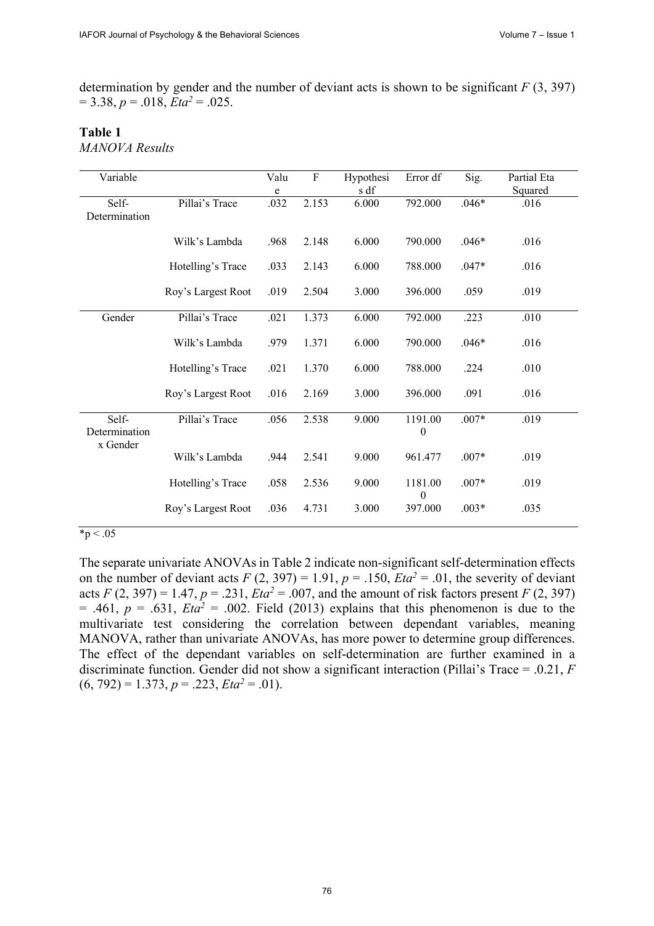determination by gender and the number of deviant acts is shown to be significant *F* (3, 397)  $= 3.38, p = .018, Eta<sup>2</sup> = .025.$ 

# **Table 1**

*MANOVA Results*

| Variable      |                    | Valu | $\rm F$ | Hypothesi | Error df         | Sig.    | Partial Eta |
|---------------|--------------------|------|---------|-----------|------------------|---------|-------------|
|               |                    | e    |         | s df      |                  |         | Squared     |
| Self-         | Pillai's Trace     | .032 | 2.153   | 6.000     | 792.000          | $.046*$ | .016        |
| Determination |                    |      |         |           |                  |         |             |
|               |                    |      |         |           |                  |         |             |
|               | Wilk's Lambda      | .968 | 2.148   | 6.000     | 790.000          | $.046*$ | .016        |
|               |                    |      |         |           |                  |         |             |
|               | Hotelling's Trace  | .033 | 2.143   | 6.000     | 788.000          | $.047*$ | .016        |
|               |                    |      |         |           |                  |         |             |
|               | Roy's Largest Root | .019 | 2.504   | 3.000     | 396.000          | .059    | .019        |
|               |                    |      |         |           |                  |         |             |
| Gender        | Pillai's Trace     | .021 | 1.373   | 6.000     | 792.000          | .223    | .010        |
|               |                    |      |         |           |                  |         |             |
|               |                    |      |         |           |                  |         |             |
|               | Wilk's Lambda      | .979 | 1.371   | 6.000     | 790.000          | $.046*$ | .016        |
|               |                    |      |         |           |                  |         |             |
|               | Hotelling's Trace  | .021 | 1.370   | 6.000     | 788.000          | .224    | .010        |
|               |                    |      |         |           |                  |         |             |
|               | Roy's Largest Root | .016 | 2.169   | 3.000     | 396.000          | .091    | .016        |
|               |                    |      |         |           |                  |         |             |
| Self-         | Pillai's Trace     | .056 | 2.538   | 9.000     | 1191.00          | $.007*$ | .019        |
| Determination |                    |      |         |           | $\boldsymbol{0}$ |         |             |
| x Gender      |                    |      |         |           |                  |         |             |
|               | Wilk's Lambda      | .944 | 2.541   | 9.000     | 961.477          | $.007*$ | .019        |
|               |                    |      |         |           |                  |         |             |
|               | Hotelling's Trace  | .058 | 2.536   | 9.000     | 1181.00          | $.007*$ | .019        |
|               |                    |      |         |           | 0                |         |             |
|               | Roy's Largest Root | .036 | 4.731   | 3.000     | 397.000          | $.003*$ | .035        |
|               |                    |      |         |           |                  |         |             |

#### $*_{p}$  < .05

The separate univariate ANOVAs in Table 2 indicate non-significant self-determination effects on the number of deviant acts  $F(2, 397) = 1.91$ ,  $p = .150$ ,  $Eta^2 = .01$ , the severity of deviant acts *F* (2, 397) = 1.47, *p* = .231,  $Eta^2 = .007$ , and the amount of risk factors present *F* (2, 397)  $= .461, p = .631, Eta<sup>2</sup> = .002$ . Field (2013) explains that this phenomenon is due to the multivariate test considering the correlation between dependant variables, meaning MANOVA, rather than univariate ANOVAs, has more power to determine group differences. The effect of the dependant variables on self-determination are further examined in a discriminate function. Gender did not show a significant interaction (Pillai's Trace = .0.21, *F*  $(6, 792) = 1.373, p = .223, Eta<sup>2</sup> = .01$ .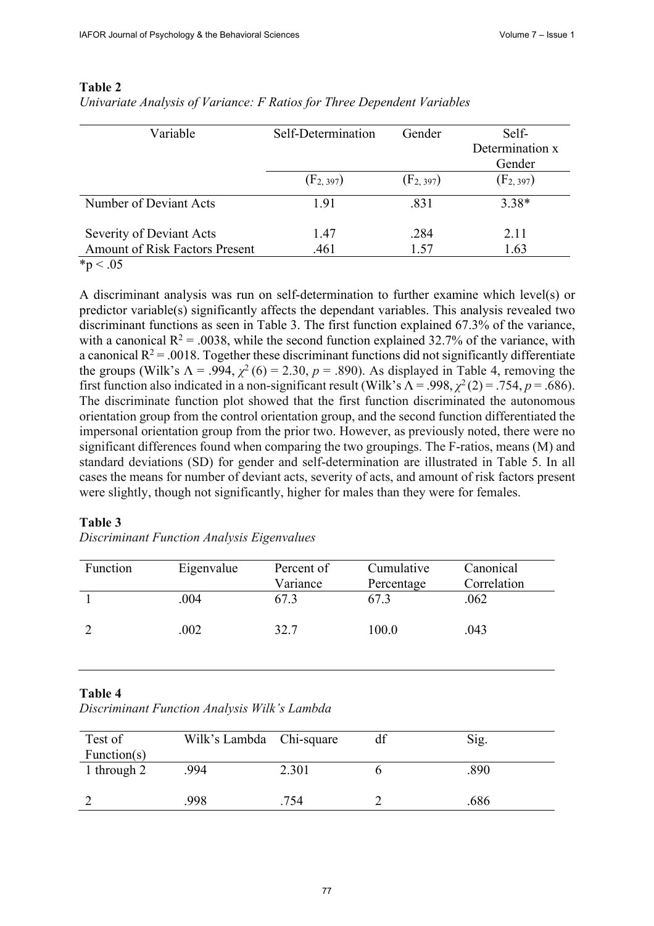| Variable                                                             | Self-Determination | Gender       | Self-<br>Determination x<br>Gender |  |  |
|----------------------------------------------------------------------|--------------------|--------------|------------------------------------|--|--|
|                                                                      | $(F_{2, 397})$     | $(F_2, 397)$ | $(F_{2, 397})$                     |  |  |
| Number of Deviant Acts                                               | 1.91               | .831         | $3.38*$                            |  |  |
| Severity of Deviant Acts                                             | 1.47               | .284         | 2.11                               |  |  |
| <b>Amount of Risk Factors Present</b><br>$\sim$ $\sim$ $\sim$ $\sim$ | .461               | 1.57         | 1.63                               |  |  |

### **Table 2**

*Univariate Analysis of Variance: F Ratios for Three Dependent Variables*

 $*_{p} < .05$ 

A discriminant analysis was run on self-determination to further examine which level(s) or predictor variable(s) significantly affects the dependant variables. This analysis revealed two discriminant functions as seen in Table 3. The first function explained 67.3% of the variance, with a canonical  $R^2 = 0.0038$ , while the second function explained 32.7% of the variance, with a canonical  $R^2$  = .0018. Together these discriminant functions did not significantly differentiate the groups (Wilk's  $\Lambda = .994$ ,  $\chi^2$  (6) = 2.30,  $p = .890$ ). As displayed in Table 4, removing the first function also indicated in a non-significant result (Wilk's  $\Lambda$  = .998,  $\chi^2$  (2) = .754, *p* = .686). The discriminate function plot showed that the first function discriminated the autonomous orientation group from the control orientation group, and the second function differentiated the impersonal orientation group from the prior two. However, as previously noted, there were no significant differences found when comparing the two groupings. The F-ratios, means (M) and standard deviations (SD) for gender and self-determination are illustrated in Table 5. In all cases the means for number of deviant acts, severity of acts, and amount of risk factors present were slightly, though not significantly, higher for males than they were for females.

### **Table 3**

| Function | Eigenvalue | Percent of | Cumulative | Canonical   |
|----------|------------|------------|------------|-------------|
|          |            | Variance   | Percentage | Correlation |
|          | .004       | 67.3       | 67.3       | .062        |
|          | .002       | 32.7       | 100.0      | .043        |
|          |            |            |            |             |

# **Table 4**

| Discriminant Function Analysis Wilk's Lambda |  |  |  |  |
|----------------------------------------------|--|--|--|--|
|----------------------------------------------|--|--|--|--|

| Test of         | Wilk's Lambda Chi-square |       | df | Sig. |
|-----------------|--------------------------|-------|----|------|
| Function( $s$ ) |                          |       |    |      |
| 1 through 2     | .994                     | 2.301 |    | .890 |
|                 |                          |       |    |      |
|                 | 998                      | .754  |    | .686 |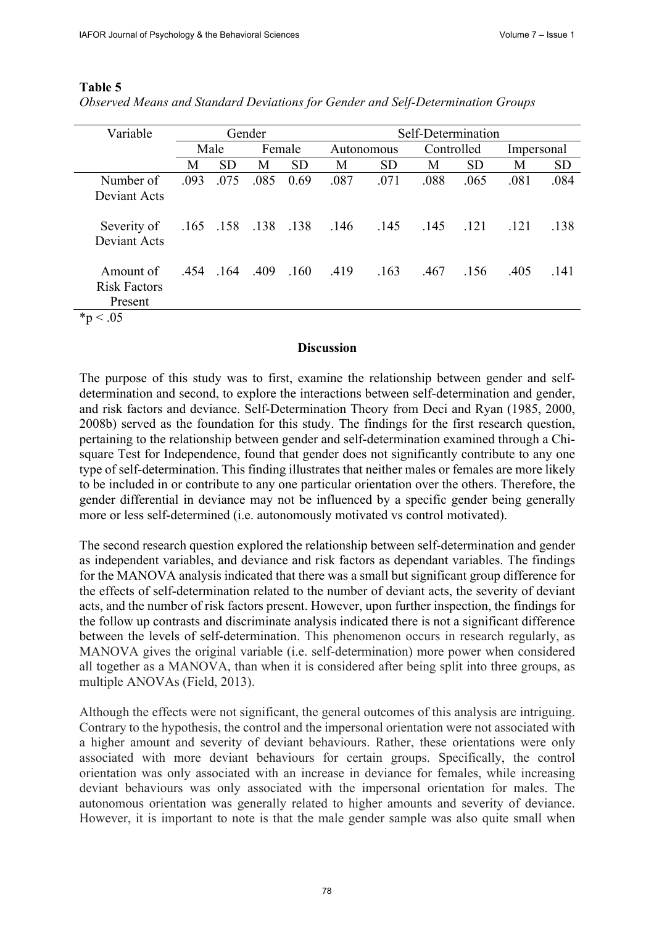| Variable                                    | Gender |           | Self-Determination |           |                          |           |            |           |            |           |
|---------------------------------------------|--------|-----------|--------------------|-----------|--------------------------|-----------|------------|-----------|------------|-----------|
|                                             | Male   |           | Female             |           | Autonomous               |           | Controlled |           | Impersonal |           |
|                                             | М      | <b>SD</b> | М                  | <b>SD</b> | М                        | <b>SD</b> | М          | <b>SD</b> | Μ          | <b>SD</b> |
| Number of                                   | .093   | .075      | .085               | 0.69      | .087                     | .071      | .088       | .065      | .081       | .084      |
| Deviant Acts                                |        |           |                    |           |                          |           |            |           |            |           |
| Severity of<br><b>Deviant Acts</b>          |        |           |                    |           | .165 .158 .138 .138 .146 | .145      | .145       | .121      | .121       | .138      |
| Amount of<br><b>Risk Factors</b><br>Present |        | .454.164  | .409               | .160      | .419                     | .163      | .467       | .156      | .405       | .141      |
| $\sim$ $\sim$ $\sim$ $\sim$                 |        |           |                    |           |                          |           |            |           |            |           |

### **Table 5**

| Observed Means and Standard Deviations for Gender and Self-Determination Groups |  |  |  |
|---------------------------------------------------------------------------------|--|--|--|
|                                                                                 |  |  |  |

 $*_{p}$  < .05

### **Discussion**

The purpose of this study was to first, examine the relationship between gender and selfdetermination and second, to explore the interactions between self-determination and gender, and risk factors and deviance. Self-Determination Theory from Deci and Ryan (1985, 2000, 2008b) served as the foundation for this study. The findings for the first research question, pertaining to the relationship between gender and self-determination examined through a Chisquare Test for Independence, found that gender does not significantly contribute to any one type of self-determination. This finding illustrates that neither males or females are more likely to be included in or contribute to any one particular orientation over the others. Therefore, the gender differential in deviance may not be influenced by a specific gender being generally more or less self-determined (i.e. autonomously motivated vs control motivated).

The second research question explored the relationship between self-determination and gender as independent variables, and deviance and risk factors as dependant variables. The findings for the MANOVA analysis indicated that there was a small but significant group difference for the effects of self-determination related to the number of deviant acts, the severity of deviant acts, and the number of risk factors present. However, upon further inspection, the findings for the follow up contrasts and discriminate analysis indicated there is not a significant difference between the levels of self-determination. This phenomenon occurs in research regularly, as MANOVA gives the original variable (i.e. self-determination) more power when considered all together as a MANOVA, than when it is considered after being split into three groups, as multiple ANOVAs (Field, 2013).

Although the effects were not significant, the general outcomes of this analysis are intriguing. Contrary to the hypothesis, the control and the impersonal orientation were not associated with a higher amount and severity of deviant behaviours. Rather, these orientations were only associated with more deviant behaviours for certain groups. Specifically, the control orientation was only associated with an increase in deviance for females, while increasing deviant behaviours was only associated with the impersonal orientation for males. The autonomous orientation was generally related to higher amounts and severity of deviance. However, it is important to note is that the male gender sample was also quite small when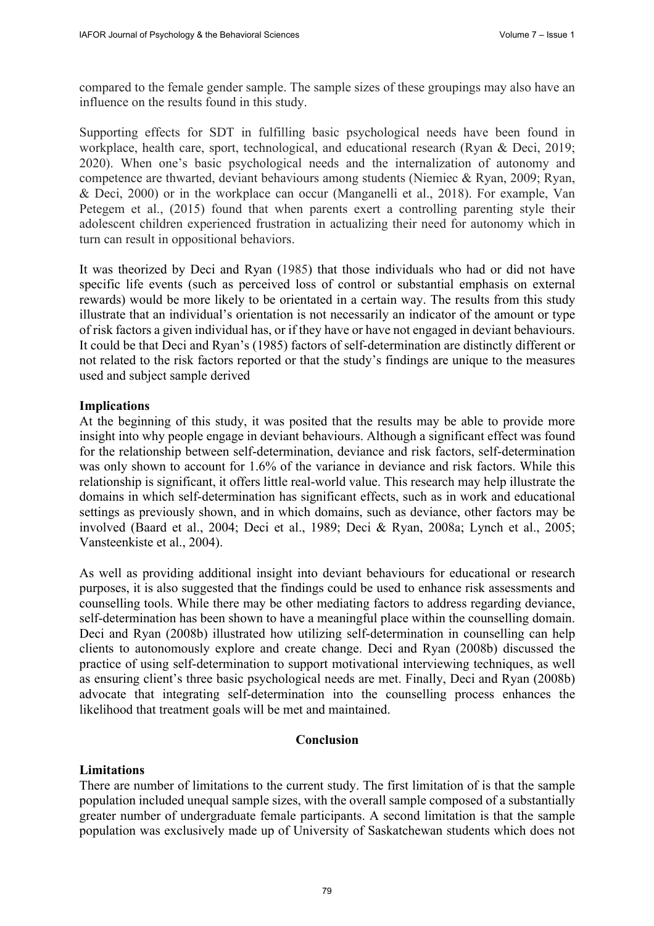compared to the female gender sample. The sample sizes of these groupings may also have an influence on the results found in this study.

Supporting effects for SDT in fulfilling basic psychological needs have been found in workplace, health care, sport, technological, and educational research (Ryan & Deci, 2019; 2020). When one's basic psychological needs and the internalization of autonomy and competence are thwarted, deviant behaviours among students (Niemiec & Ryan, 2009; Ryan, & Deci, 2000) or in the workplace can occur (Manganelli et al., 2018). For example, Van Petegem et al., (2015) found that when parents exert a controlling parenting style their adolescent children experienced frustration in actualizing their need for autonomy which in turn can result in oppositional behaviors.

It was theorized by Deci and Ryan (1985) that those individuals who had or did not have specific life events (such as perceived loss of control or substantial emphasis on external rewards) would be more likely to be orientated in a certain way. The results from this study illustrate that an individual's orientation is not necessarily an indicator of the amount or type of risk factors a given individual has, or if they have or have not engaged in deviant behaviours. It could be that Deci and Ryan's (1985) factors of self-determination are distinctly different or not related to the risk factors reported or that the study's findings are unique to the measures used and subject sample derived

## **Implications**

At the beginning of this study, it was posited that the results may be able to provide more insight into why people engage in deviant behaviours. Although a significant effect was found for the relationship between self-determination, deviance and risk factors, self-determination was only shown to account for 1.6% of the variance in deviance and risk factors. While this relationship is significant, it offers little real-world value. This research may help illustrate the domains in which self-determination has significant effects, such as in work and educational settings as previously shown, and in which domains, such as deviance, other factors may be involved (Baard et al., 2004; Deci et al., 1989; Deci & Ryan, 2008a; Lynch et al., 2005; Vansteenkiste et al., 2004).

As well as providing additional insight into deviant behaviours for educational or research purposes, it is also suggested that the findings could be used to enhance risk assessments and counselling tools. While there may be other mediating factors to address regarding deviance, self-determination has been shown to have a meaningful place within the counselling domain. Deci and Ryan (2008b) illustrated how utilizing self-determination in counselling can help clients to autonomously explore and create change. Deci and Ryan (2008b) discussed the practice of using self-determination to support motivational interviewing techniques, as well as ensuring client's three basic psychological needs are met. Finally, Deci and Ryan (2008b) advocate that integrating self-determination into the counselling process enhances the likelihood that treatment goals will be met and maintained.

# **Conclusion**

### **Limitations**

There are number of limitations to the current study. The first limitation of is that the sample population included unequal sample sizes, with the overall sample composed of a substantially greater number of undergraduate female participants. A second limitation is that the sample population was exclusively made up of University of Saskatchewan students which does not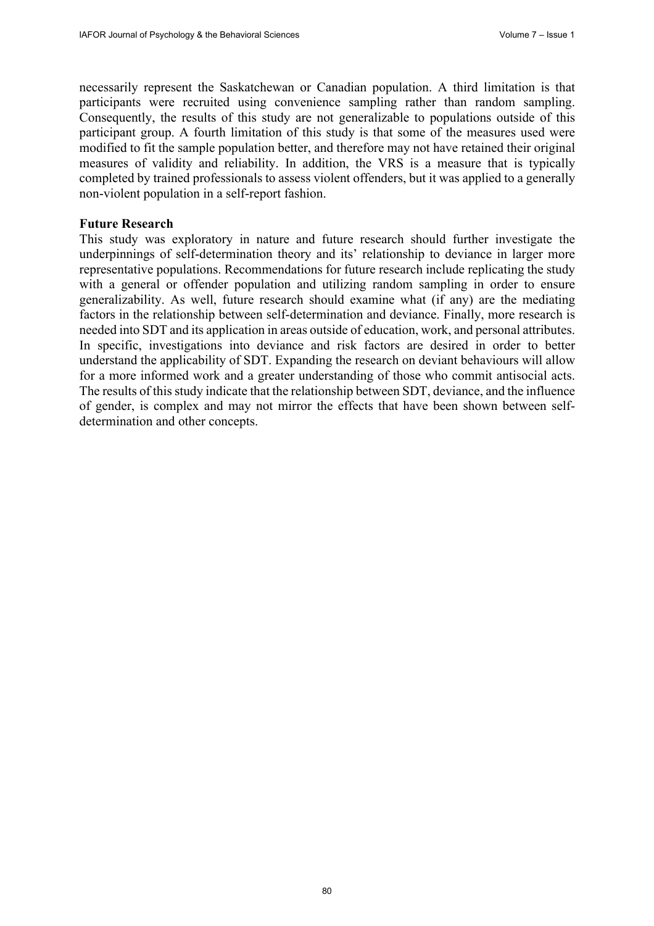necessarily represent the Saskatchewan or Canadian population. A third limitation is that participants were recruited using convenience sampling rather than random sampling. Consequently, the results of this study are not generalizable to populations outside of this participant group. A fourth limitation of this study is that some of the measures used were modified to fit the sample population better, and therefore may not have retained their original measures of validity and reliability. In addition, the VRS is a measure that is typically completed by trained professionals to assess violent offenders, but it was applied to a generally non-violent population in a self-report fashion.

### **Future Research**

This study was exploratory in nature and future research should further investigate the underpinnings of self-determination theory and its' relationship to deviance in larger more representative populations. Recommendations for future research include replicating the study with a general or offender population and utilizing random sampling in order to ensure generalizability. As well, future research should examine what (if any) are the mediating factors in the relationship between self-determination and deviance. Finally, more research is needed into SDT and its application in areas outside of education, work, and personal attributes. In specific, investigations into deviance and risk factors are desired in order to better understand the applicability of SDT. Expanding the research on deviant behaviours will allow for a more informed work and a greater understanding of those who commit antisocial acts. The results of this study indicate that the relationship between SDT, deviance, and the influence of gender, is complex and may not mirror the effects that have been shown between selfdetermination and other concepts.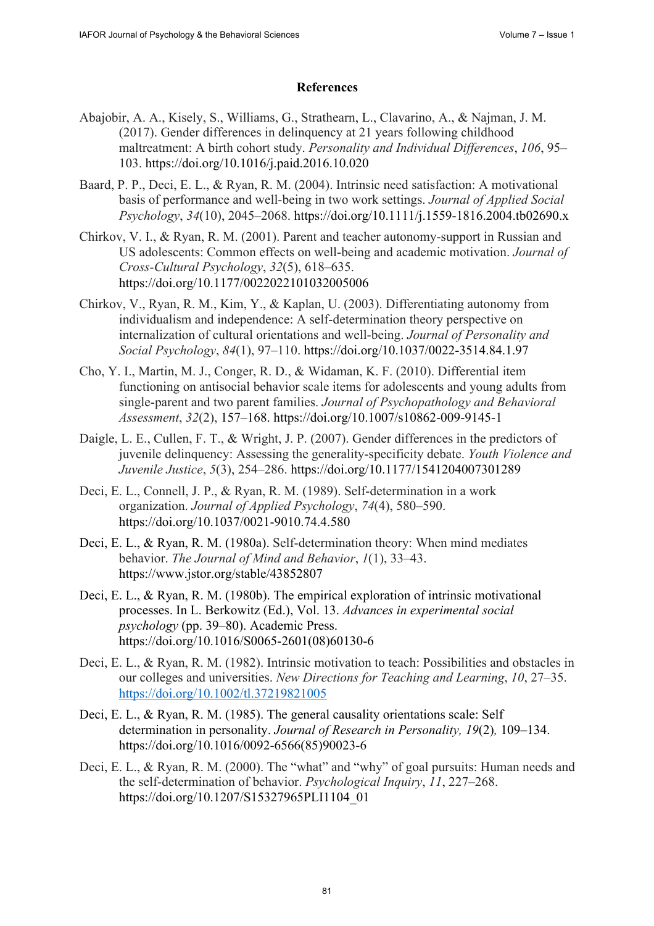# **References**

- Abajobir, A. A., Kisely, S., Williams, G., Strathearn, L., Clavarino, A., & Najman, J. M. (2017). Gender differences in delinquency at 21 years following childhood maltreatment: A birth cohort study. *Personality and Individual Differences*, *106*, 95– 103. <https://doi.org/10.1016/j.paid.2016.10.020>
- Baard, P. P., Deci, E. L., & Ryan, R. M. (2004). Intrinsic need satisfaction: A motivational basis of performance and well‐being in two work settings. *Journal of Applied Social Psychology*, *34*(10), 2045–2068. <https://doi.org/10.1111/j.1559-1816.2004.tb02690.x>
- Chirkov, V. I., & Ryan, R. M. (2001). Parent and teacher autonomy-support in Russian and US adolescents: Common effects on well-being and academic motivation. *Journal of Cross-Cultural Psychology*, *32*(5), 618–635. <https://doi.org/10.1177/0022022101032005006>
- Chirkov, V., Ryan, R. M., Kim, Y., & Kaplan, U. (2003). Differentiating autonomy from individualism and independence: A self-determination theory perspective on internalization of cultural orientations and well-being. *Journal of Personality and Social Psychology*, *84*(1), 97–110. <https://doi.org/10.1037/0022-3514.84.1.97>
- Cho, Y. I., Martin, M. J., Conger, R. D., & Widaman, K. F. (2010). Differential item functioning on antisocial behavior scale items for adolescents and young adults from single-parent and two parent families. *Journal of Psychopathology and Behavioral Assessment*, *32*(2), 157–168. <https://doi.org/10.1007/s10862-009-9145-1>
- Daigle, L. E., Cullen, F. T., & Wright, J. P. (2007). Gender differences in the predictors of juvenile delinquency: Assessing the generality-specificity debate. *Youth Violence and Juvenile Justice*, *5*(3), 254–286. <https://doi.org/10.1177/1541204007301289>
- Deci, E. L., Connell, J. P., & Ryan, R. M. (1989). Self-determination in a work organization. *Journal of Applied Psychology*, *74*(4), 580–590. <https://doi.org/10.1037/0021-9010.74.4.580>
- Deci, E. L., & Ryan, R. M. (1980a). Self-determination theory: When mind mediates behavior. *The Journal of Mind and Behavior*, *1*(1), 33–43. <https://www.jstor.org/stable/43852807>
- Deci, E. L., & Ryan, R. M. (1980b). The empirical exploration of intrinsic motivational processes. In L. Berkowitz (Ed.), Vol. 13. *Advances in experimental social psychology* (pp. 39–80). Academic Press. [https://doi.org/10.1016/S0065-2601\(08](https://doi.org/10.1016/S0065-2601))60130-6
- Deci, E. L., & Ryan, R. M. (1982). Intrinsic motivation to teach: Possibilities and obstacles in our colleges and universities. *New Directions for Teaching and Learning*, *10*, 27–35. <https://doi.org/10.1002/tl.37219821005>
- Deci, E. L., & Ryan, R. M. (1985). The general causality orientations scale: Self determination in personality. *Journal of Research in Personality, 19*(2)*,* 109–134. [https://doi.org/10.1016/0092-6566\(85\)](https://doi.org/10.1016/0092-6566)90023-6
- Deci, E. L., & Ryan, R. M. (2000). The "what" and "why" of goal pursuits: Human needs and the self-determination of behavior. *Psychological Inquiry*, *11*, 227–268. [https://doi.org/10.1207/S15327965PLI1104\\_01](https://doi.org/10.1207/S15327965PLI1104_01)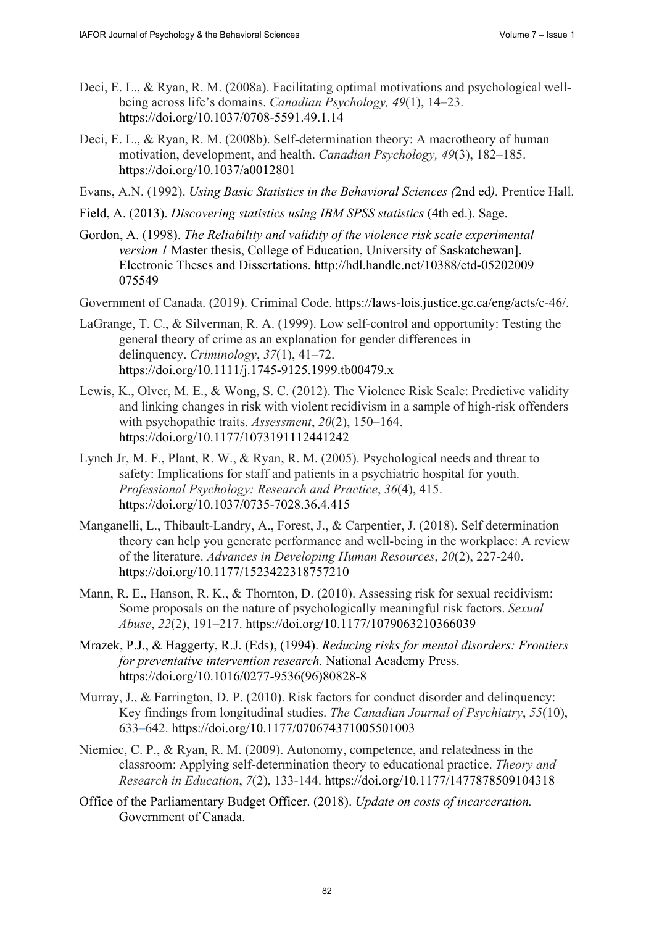- Deci, E. L., & Ryan, R. M. (2008a). Facilitating optimal motivations and psychological wellbeing across life's domains. *Canadian Psychology, 49*(1), 14–23. <https://doi.org/10.1037/0708-5591.49.1.14>
- Deci, E. L., & Ryan, R. M. (2008b). Self-determination theory: A macrotheory of human motivation, development, and health. *Canadian Psychology, 49*(3), 182–185. <https://doi.org/10.1037/a0012801>
- Evans, A.N. (1992). *Using Basic Statistics in the Behavioral Sciences (*2nd ed*).* Prentice Hall.
- Field, A. (2013). *Discovering statistics using IBM SPSS statistics* (4th ed.). Sage.
- Gordon, A. (1998). *The Reliability and validity of the violence risk scale experimental version 1* Master thesis, College of Education, University of Saskatchewan]. Electronic Theses and Dissertations. <http://hdl.handle.net/10388/etd-05202009> 075549
- Government of Canada. (2019). Criminal Code. [https://laws-lois.justice.gc.ca/eng/acts/c-46/.](https://laws-lois.justice.gc.ca/eng/acts/c-46/)
- LaGrange, T. C., & Silverman, R. A. (1999). Low self-control and opportunity: Testing the general theory of crime as an explanation for gender differences in delinquency. *Criminology*, *37*(1), 41–72. <https://doi.org/10.1111/j.1745-9125.1999.tb00479.x>
- Lewis, K., Olver, M. E., & Wong, S. C. (2012). The Violence Risk Scale: Predictive validity and linking changes in risk with violent recidivism in a sample of high-risk offenders with psychopathic traits. *Assessment*, *20*(2), 150–164. <https://doi.org/10.1177/1073191112441242>
- Lynch Jr, M. F., Plant, R. W., & Ryan, R. M. (2005). Psychological needs and threat to safety: Implications for staff and patients in a psychiatric hospital for youth. *Professional Psychology: Research and Practice*, *36*(4), 415. <https://doi.org/10.1037/0735-7028.36.4.415>
- Manganelli, L., Thibault-Landry, A., Forest, J., & Carpentier, J. (2018). Self determination theory can help you generate performance and well-being in the workplace: A review of the literature. *Advances in Developing Human Resources*, *20*(2), 227-240. <https://doi.org/10.1177/1523422318757210>
- Mann, R. E., Hanson, R. K., & Thornton, D. (2010). Assessing risk for sexual recidivism: Some proposals on the nature of psychologically meaningful risk factors. *Sexual Abuse*, *22*(2), 191–217. <https://doi.org/10.1177/1079063210366039>
- Mrazek, P.J., & Haggerty, R.J. (Eds), (1994). *Reducing risks for mental disorders: Frontiers for preventative intervention research.* National Academy Press. [https://doi.org/10.1016/0277-9536\(96\)](https://doi.org/10.1016/0277-9536)80828-8
- Murray, J., & Farrington, D. P. (2010). Risk factors for conduct disorder and delinquency: Key findings from longitudinal studies. *The Canadian Journal of Psychiatry*, *55*(10), 633–642. <https://doi.org/10.1177/070674371005501003>
- Niemiec, C. P., & Ryan, R. M. (2009). Autonomy, competence, and relatedness in the classroom: Applying self-determination theory to educational practice. *Theory and Research in Education*, *7*(2), 133-144. <https://doi.org/10.1177/1477878509104318>
- Office of the Parliamentary Budget Officer. (2018). *Update on costs of incarceration.* Government of Canada.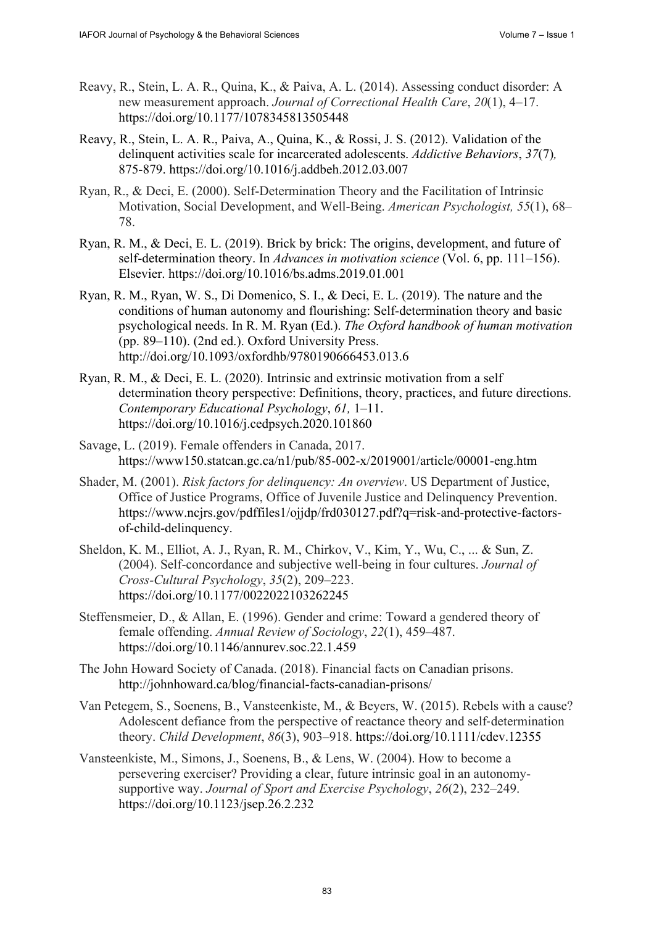- Reavy, R., Stein, L. A. R., Quina, K., & Paiva, A. L. (2014). Assessing conduct disorder: A new measurement approach. *Journal of Correctional Health Care*, *20*(1), 4–17. <https://doi.org/10.1177/1078345813505448>
- Reavy, R., Stein, L. A. R., Paiva, A., Quina, K., & Rossi, J. S. (2012). Validation of the delinquent activities scale for incarcerated adolescents. *Addictive Behaviors*, *37*(7)*,* 875-879. <https://doi.org/10.1016/j.addbeh.2012.03.007>
- Ryan, R., & Deci, E. (2000). Self-Determination Theory and the Facilitation of Intrinsic Motivation, Social Development, and Well-Being. *American Psychologist, 55*(1), 68– 78.
- Ryan, R. M., & Deci, E. L. (2019). Brick by brick: The origins, development, and future of self-determination theory. In *Advances in motivation science* (Vol. 6, pp. 111–156). Elsevier. <https://doi.org/10.1016/bs.adms.2019.01.001>
- Ryan, R. M., Ryan, W. S., Di Domenico, S. I., & Deci, E. L. (2019). The nature and the conditions of human autonomy and flourishing: Self-determination theory and basic psychological needs. In R. M. Ryan (Ed.). *The Oxford handbook of human motivation* (pp. 89–110). (2nd ed.). Oxford University Press. <http://doi.org/10.1093/oxfordhb/9780190666453.013.6>
- Ryan, R. M., & Deci, E. L. (2020). Intrinsic and extrinsic motivation from a self determination theory perspective: Definitions, theory, practices, and future directions. *Contemporary Educational Psychology*, *61,* 1–11. <https://doi.org/10.1016/j.cedpsych.2020.101860>
- Savage, L. (2019). Female offenders in Canada, 2017. <https://www150.statcan.gc.ca/n1/pub/85-002-x/2019001/article/00001-eng.htm>
- Shader, M. (2001). *Risk factors for delinquency: An overview*. US Department of Justice, Office of Justice Programs, Office of Juvenile Justice and Delinquency Prevention. [https://www.ncjrs.gov/pdffiles1/ojjdp/frd030127.pdf?q=risk-and-protective-factors](https://www.ncjrs.gov/pdffiles1/ojjdp/frd030127.pdf?q=risk-and-protective-factors-of-child-delinquency)of-[child-delinquency.](https://www.ncjrs.gov/pdffiles1/ojjdp/frd030127.pdf?q=risk-and-protective-factors-of-child-delinquency)
- Sheldon, K. M., Elliot, A. J., Ryan, R. M., Chirkov, V., Kim, Y., Wu, C., ... & Sun, Z. (2004). Self-concordance and subjective well-being in four cultures. *Journal of Cross-Cultural Psychology*, *35*(2), 209–223. <https://doi.org/10.1177/0022022103262245>
- Steffensmeier, D., & Allan, E. (1996). Gender and crime: Toward a gendered theory of female offending. *Annual Review of Sociology*, *22*(1), 459–487. <https://doi.org/10.1146/annurev.soc.22.1.459>
- The John Howard Society of Canada. (2018). Financial facts on Canadian prisons. <http://johnhoward.ca/blog/financial-facts-canadian-prisons/>
- Van Petegem, S., Soenens, B., Vansteenkiste, M., & Beyers, W. (2015). Rebels with a cause? Adolescent defiance from the perspective of reactance theory and self-determination theory. *Child Development*, *86*(3), 903–918. <https://doi.org/10.1111/cdev.12355>
- Vansteenkiste, M., Simons, J., Soenens, B., & Lens, W. (2004). How to become a persevering exerciser? Providing a clear, future intrinsic goal in an autonomysupportive way. *Journal of Sport and Exercise Psychology*, *26*(2), 232–249. <https://doi.org/10.1123/jsep.26.2.232>